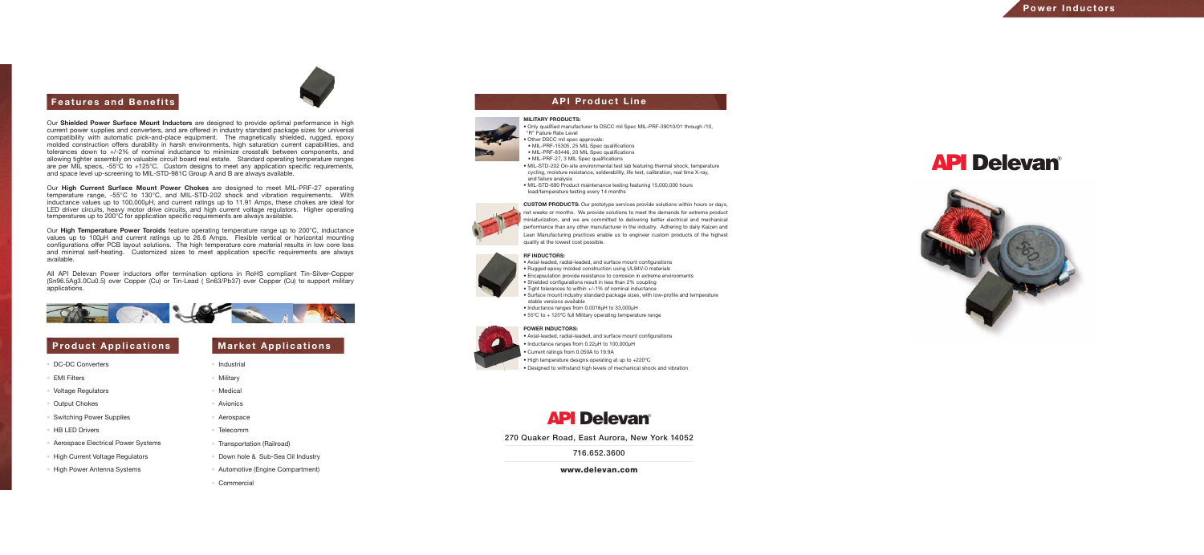# API Delevan®



## **Features and Benefits A PU Product Line**

Our **Shielded Power Surface Mount Inductors** are designed to provide optimal performance in high current power supplies and converters, and are offered in industry standard package sizes for universal compatibility with automatic pick-and-place equipment. The magnetically shielded, rugged, epoxy molded construction offers durability in harsh environments, high saturation current capabilities, and tolerances down to +/-2% of nominal inductance to minimize crosstalk between components, and allowing tighter assembly on valuable circuit board real estate. Standard operating temperature ranges are per MIL specs, -55°C to +125°C. Custom designs to meet any application specific requirements, and space level up-screening to MIL-STD-981C Group A and B are always available.

Our **High Current Surface Mount Power Chokes** are designed to meet MIL-PRF-27 operating temperature range, -55°C to 130°C, and MIL-STD-202 shock and vibration requirements. With inductance values up to 100,000µH, and current ratings up to 11.91 Amps, these chokes are ideal for LED driver circuits, heavy motor drive circuits, and high current voltage regulators. Higher operating temperatures up to 200°C for application specific requirements are always available.

Our **High Temperature Power Toroids** feature operating temperature range up to 200°C, inductance values up to 100µH and current ratings up to 26.6 Amps. Flexible vertical or horizontal mounting configurations offer PCB layout solutions. The high temperature core material results in low core loss and minimal self-heating. Customized sizes to meet application specific requirements are always available.

All API Delevan Power inductors offer termination options in RoHS compliant Tin-Silver-Copper (Sn96.5Ag3.0Cu0.5) over Copper (Cu) or Tin-Lead ( Sn63/Pb37) over Copper (Cu) to support military applications.



## **Product Applications | Market Applications**

### **RF INDUCTORS:**



• Axial-leaded, radial-leaded, and surface mount configurations • Rugged epoxy molded construction using UL94V-0 materials • Encapsulation provide resistance to corrosion in extreme environments • Shielded configurations result in less than 2% coupling • Tight tolerances to within +/-1% of nominal inductance • Surface mount industry standard package sizes, with low-profile and temperature

- 
- 
- 
- stable versions available
- Inductance ranges from 0.0018µH to 33,000µH
- 

• 55ºC to + 125ºC full Military operating temperature range

## **MILITARY PRODUCTS:**



• Only qualified manufacturer to DSCC mil Spec MIL-PRF-39010/01 through /10,

"R" Failure Rate Level

• Other DSCC mil spec approvals: • MIL-PRF-15305, 25 MIL Spec qualifications • MIL-PRF-83446, 20 MIL Spec qualifications • MIL-PRF-27, 3 MIL Spec qualifications

• MIL-STD-202 On-site environmental test lab featuring thermal shock, temperature cycling, moisture resistance, solderability, life test, calibration, real time X-ray,

• MIL-STD-690 Product maintenance testing featuring 15,000,000 hours

- and failure analysis
- load/temperature testing every 14 months

**CUSTOM PRODUCTS:** Our prototype services provide solutions within hours or days, not weeks or months. We provide solutions to meet the demands for extreme product miniaturization, and we are committed to delivering better electrical and mechanical performance than any other manufacturer in the industry. Adhering to daily Kaizen and Lean Manufacturing practices enable us to engineer custom products of the highest quality at the lowest cost possible.

### **POWER INDUCTORS:**



- Inductance ranges from 0.22µH to 100,000µH • Current ratings from 0.050A to 19.9A
- 



• Axial-leaded, radial-leaded, and surface mount configurations • High temperature designs operating at up to +220ºC • Designed to withstand high levels of mechanical shock and vibration

# API Delevan®

270 Quaker Road, East Aurora, New York 14052

716.652.3600



www.delevan.com

- DC-DC Converters
- EMI Filters
- Voltage Regulators
- Output Chokes
- Switching Power Supplies
- HB LED Drivers
- Aerospace Electrical Power Systems
- High Current Voltage Regulators
- High Power Antenna Systems

- Industrial
- Military
- Medical
- Avionics
- Aerospace
- Telecomm
- Transportation (Railroad)
- Down hole & Sub-Sea Oil Industry
- Automotive (Engine Compartment)
- Commercial